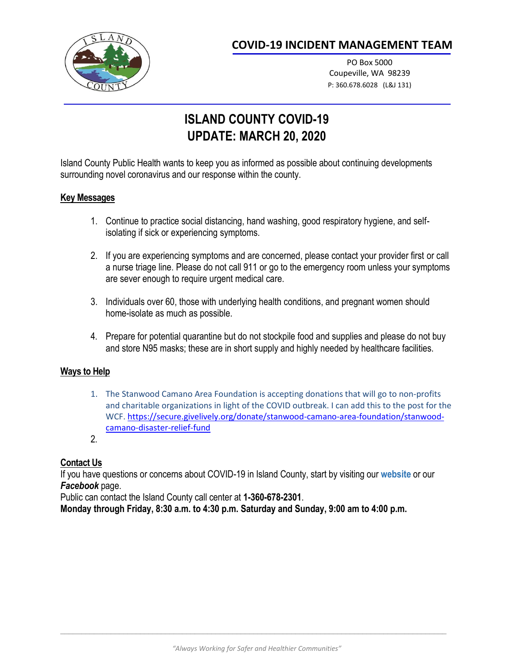

## **COVID-19 INCIDENT MANAGEMENT TEAM**

PO Box 5000 Coupeville, WA 98239 P: 360.678.6028 (L&J 131)

# **ISLAND COUNTY COVID-19 UPDATE: MARCH 20, 2020**

Island County Public Health wants to keep you as informed as possible about continuing developments surrounding novel coronavirus and our response within the county.

#### **Key Messages**

- 1. Continue to practice social distancing, hand washing, good respiratory hygiene, and selfisolating if sick or experiencing symptoms.
- 2. If you are experiencing symptoms and are concerned, please contact your provider first or call a nurse triage line. Please do not call 911 or go to the emergency room unless your symptoms are sever enough to require urgent medical care.
- 3. Individuals over 60, those with underlying health conditions, and pregnant women should home-isolate as much as possible.
- 4. Prepare for potential quarantine but do not stockpile food and supplies and please do not buy and store N95 masks; these are in short supply and highly needed by healthcare facilities.

#### **Ways to Help**

- 1. The Stanwood Camano Area Foundation is accepting donations that will go to non-profits and charitable organizations in light of the COVID outbreak. I can add this to the post for the WCF. [https://secure.givelively.org/donate/stanwood-camano-area-foundation/stanwood](https://secure.givelively.org/donate/stanwood-camano-area-foundation/stanwood-camano-disaster-relief-fund)[camano-disaster-relief-fund](https://secure.givelively.org/donate/stanwood-camano-area-foundation/stanwood-camano-disaster-relief-fund)
- 2.

### **Contact Us**

If you have questions or concerns about COVID-19 in Island County, start by visiting our **[website](https://www.islandcountywa.gov/Health/Pages/COVID-19.aspx)** or our *Facebook* page.

Public can contact the Island County call center at **1-360-678-2301**.

**Monday through Friday, 8:30 a.m. to 4:30 p.m. Saturday and Sunday, 9:00 am to 4:00 p.m.**

 $\Box$  . The contribution of the contribution of the contribution of the contribution of the contribution of the contribution of the contribution of the contribution of the contribution of the contribution of the contributi